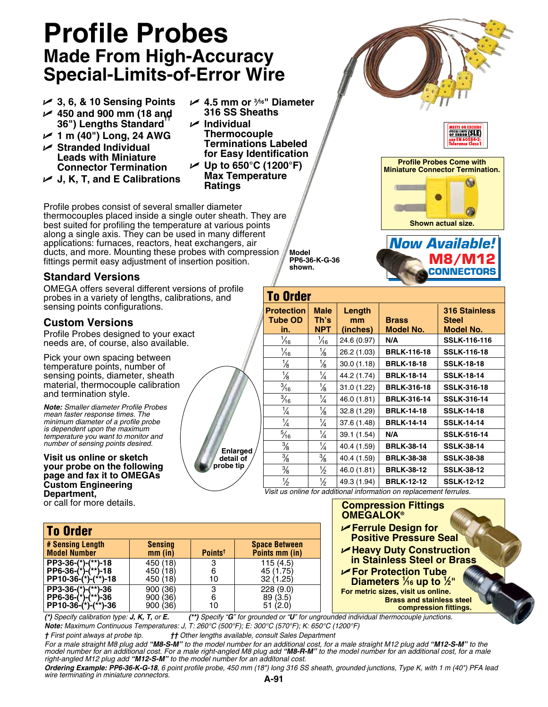## **Profile Probes Made From High-Accuracy Special-Limits-of-Error Wire**

- U **3, 6, & 10 Sensing Points** U **450 and 900 mm (18 and 36") Lengths Standard††**
- U **1 m (40") Long, 24 AWG**
- U **Stranded Individual Leads with Miniature Connector Termination**
- U **J, K, T, and E Calibrations**

Profile probes consist of several smaller diameter thermocouples placed inside a single outer sheath. They are best suited for profiling the temperature at various points along a single axis. They can be used in many different applications: furnaces, reactors, heat exchangers, air ducts, and more. Mounting these probes with compression fittings permit easy adjustment of insertion position.

### **Standard Versions**

OMEGA offers several different versions of profile probes in a variety of lengths, calibrations, and sensing points configurations.

#### **Custom Versions**

Profile Probes designed to your exact needs are, of course, also available.

Pick your own spacing between temperature points, number of sensing points, diameter, sheath material, thermocouple calibration and termination style.

*Note: Smaller diameter Profile Probes mean faster response times. The minimum diameter of a profile probe is dependent upon the maximum temperature you want to monitor and number of sensing points desired.*

#### **Visit us online or sketch your probe on the following page and fax it to OMEGAs Custom Engineering Department,**

or call for more details.

| ✔ 4.5 mm or ¾ "Diameter       |
|-------------------------------|
| 316 SS Sheaths                |
| $\boldsymbol{\nu}$ Individual |
| <b>Thermocouple</b>           |
| <b>Terminations Labeled</b>   |
|                               |

**for Easy Identification** U **Up to 650°C (1200°F) Max Temperature Ratings**

> **Model PP6-36-K-G-36 shown.**



**Shown actual size.**



| <b>To Order</b>                            |                                   |                          |                                                                                        |                                                          |  |  |  |  |
|--------------------------------------------|-----------------------------------|--------------------------|----------------------------------------------------------------------------------------|----------------------------------------------------------|--|--|--|--|
| <b>Protection</b><br><b>Tube OD</b><br>in. | <b>Male</b><br>Th's<br><b>NPT</b> | Length<br>mm<br>(inches) | <b>Brass</b><br><b>Model No.</b>                                                       | <b>316 Stainless</b><br><b>Steel</b><br><b>Model No.</b> |  |  |  |  |
| $\frac{1}{16}$                             | $\frac{1}{16}$                    | 24.6 (0.97)              | N/A                                                                                    | <b>SSLK-116-116</b>                                      |  |  |  |  |
| $\frac{1}{16}$                             | $\frac{1}{8}$                     | 26.2 (1.03)              | <b>BRLK-116-18</b>                                                                     | <b>SSLK-116-18</b>                                       |  |  |  |  |
| $\frac{1}{8}$                              | $\frac{1}{8}$                     | 30.0(1.18)               | <b>BRLK-18-18</b>                                                                      | <b>SSLK-18-18</b>                                        |  |  |  |  |
| $\frac{1}{8}$                              | $\frac{1}{4}$                     | 44.2 (1.74)              | <b>BRLK-18-14</b>                                                                      | <b>SSLK-18-14</b>                                        |  |  |  |  |
| $\frac{3}{16}$                             | $\frac{1}{8}$                     | 31.0 (1.22)              | <b>BRLK-316-18</b>                                                                     | <b>SSLK-316-18</b>                                       |  |  |  |  |
| $\frac{3}{16}$                             | $\frac{1}{4}$                     | 46.0 (1.81)              | <b>BRLK-316-14</b>                                                                     | <b>SSLK-316-14</b>                                       |  |  |  |  |
| $\frac{1}{4}$                              | $\frac{1}{8}$                     | 32.8 (1.29)              | <b>BRLK-14-18</b>                                                                      | <b>SSLK-14-18</b>                                        |  |  |  |  |
| $\frac{1}{4}$                              | $\frac{1}{4}$                     | 37.6 (1.48)              | <b>BRLK-14-14</b>                                                                      | <b>SSLK-14-14</b>                                        |  |  |  |  |
| $\frac{5}{16}$                             | $\frac{1}{4}$                     | 39.1 (1.54)              | N/A                                                                                    | <b>SSLK-516-14</b>                                       |  |  |  |  |
| $\frac{3}{8}$                              | $\frac{1}{4}$                     | 40.4 (1.59)              | <b>BRLK-38-14</b>                                                                      | <b>SSLK-38-14</b>                                        |  |  |  |  |
| $\frac{3}{8}$                              | $\frac{3}{8}$                     | 40.4 (1.59)              | <b>BRLK-38-38</b>                                                                      | <b>SSLK-38-38</b>                                        |  |  |  |  |
| $\frac{3}{8}$                              | $\frac{1}{2}$                     | 46.0 (1.81)              | <b>BRLK-38-12</b>                                                                      | <b>SSLK-38-12</b>                                        |  |  |  |  |
| $\frac{1}{2}$                              | 1∕2                               | 49.3 (1.94)              | <b>BRLK-12-12</b><br>Vicit us onling for additional information on replacement formlos | <b>SSLK-12-12</b>                                        |  |  |  |  |

*Visit us online for additional information on replacement ferrules.*

|                                        | <b>Compression Fittings</b><br><b>OMEGALOK®</b><br>Ferrule Design for                           |
|----------------------------------------|-------------------------------------------------------------------------------------------------|
| <b>Space Between</b><br>Points mm (in) | <b>Positive Pressure Seal</b><br>Heavy Duty Construction<br>in Stainless Steel or Brass         |
| 115(4.5)<br>45 (1.75)<br>32 (1.25)     | For Protection Tube<br>Diameters $\frac{1}{16}$ up to $\frac{1}{2}$ "                           |
| 228 (9.0)<br>89(3.5)<br>51(2.0)        | For metric sizes, visit us online.<br><b>Brass and stainless steel</b><br>compression fittings. |
|                                        | for grounded or "U" for ungrounded individual thermocouple junctions.                           |

To Order **# Sensing Length Sensing Space Between Model Number PP3-36-(\*)-(\*\*)-18** 450 (18) 3 115 (4.5) **PP6-36-(\*)-(\*\*)-18** 450 (18) 6 45 (1.75) **PP10-36-(\*)-(\*\*)-18** 450 (18) 10 32 (1.25) **PP3-36-(\*)-(\*\*)-36** 900 (36) 3 228 (9.0) **PP6-36-(\*)-(\*\*)-36** | 900 (36) | 6 | 89 (3.5) **PP10-36-(\*)-(\*\*)-36** 900 (36) 10

 $(*)$  Specify calibration type: *J, K, T, or E.*  $(**)$  Specify " $G$ " *Note: Maximum Continuous Temperatures: J, T: 260°C (500°F); E: 300°C (570°F); K: 650°C (1200°F)*

*† First point always at probe tip. †† Other lengths available, consult Sales Department*

*For a male straight M8 plug add "M8-S-M" to the model number for an additional cost, for a male straight M12 plug add "M12-S-M" to the*  model number for an additional cost. For a male right-angled M8 plug add "**M8-R-M**" to the model number for an additional cost, for a male<br>right-angled M12 plug add "**M12-S-M**" to the model number for an additonal cost.

*Ordering Example: PP6-36-K-G-18, 6 point profile probe, 450 mm (18") long 316 SS sheath, grounded junctions, Type K, with 1 m (40") PFA lead wire terminating in miniature connectors.*

 **Enlarged detail of probe tip**

**A-91**